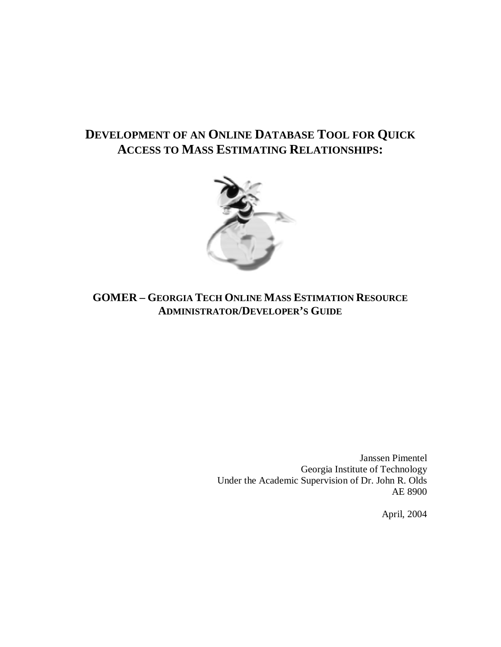# **DEVELOPMENT OF AN ONLINE DATABASE TOOL FOR QUICK ACCESS TO MASS ESTIMATING RELATIONSHIPS:**



# **GOMER – GEORGIA TECH ONLINE MASS ESTIMATION RESOURCE ADMINISTRATOR/DEVELOPER'S GUIDE**

Janssen Pimentel Georgia Institute of Technology Under the Academic Supervision of Dr. John R. Olds AE 8900

April, 2004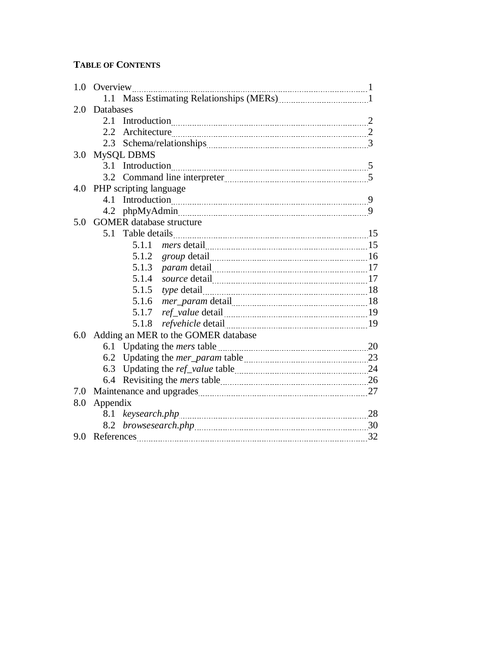# **TABLE OF CONTENTS**

| 1.0 |           | Overview                                                                       |  |
|-----|-----------|--------------------------------------------------------------------------------|--|
|     | 1.1       | Mass Estimating Relationships (MERs) [11] Mass Estimating Relationships (MERs) |  |
| 2.0 | Databases |                                                                                |  |
|     |           |                                                                                |  |
|     |           |                                                                                |  |
|     |           |                                                                                |  |
| 3.0 |           | <b>MySQL DBMS</b>                                                              |  |
|     |           |                                                                                |  |
|     |           |                                                                                |  |
|     |           | 4.0 PHP scripting language                                                     |  |
|     |           |                                                                                |  |
|     |           |                                                                                |  |
| 5.0 |           | <b>GOMER</b> database structure                                                |  |
|     | 5.1       |                                                                                |  |
|     |           | 5.1.1                                                                          |  |
|     |           | 5.1.2                                                                          |  |
|     |           | 5.1.3                                                                          |  |
|     |           | 5.1.4                                                                          |  |
|     |           | 5.1.5                                                                          |  |
|     |           | 5.1.6                                                                          |  |
|     |           | 5.1.7                                                                          |  |
|     |           | 5.1.8                                                                          |  |
| 6.0 |           | Adding an MER to the GOMER database                                            |  |
|     |           |                                                                                |  |
|     |           |                                                                                |  |
|     |           |                                                                                |  |
|     |           |                                                                                |  |
| 7.0 |           |                                                                                |  |
| 8.0 | Appendix  |                                                                                |  |
|     |           |                                                                                |  |
|     |           |                                                                                |  |
|     |           |                                                                                |  |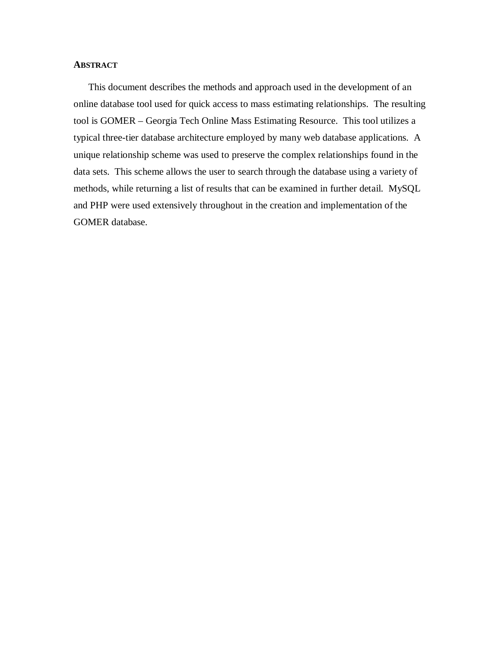# **ABSTRACT**

This document describes the methods and approach used in the development of an online database tool used for quick access to mass estimating relationships. The resulting tool is GOMER – Georgia Tech Online Mass Estimating Resource. This tool utilizes a typical three-tier database architecture employed by many web database applications. A unique relationship scheme was used to preserve the complex relationships found in the data sets. This scheme allows the user to search through the database using a variety of methods, while returning a list of results that can be examined in further detail. MySQL and PHP were used extensively throughout in the creation and implementation of the GOMER database.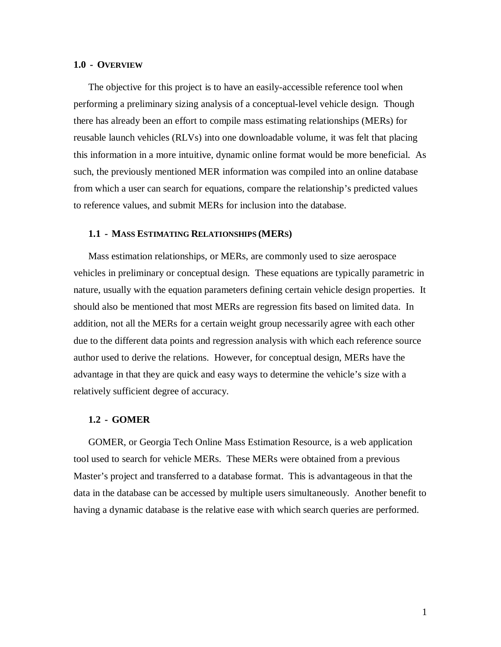### **1.0 - OVERVIEW**

The objective for this project is to have an easily-accessible reference tool when performing a preliminary sizing analysis of a conceptual-level vehicle design. Though there has already been an effort to compile mass estimating relationships (MERs) for reusable launch vehicles (RLVs) into one downloadable volume, it was felt that placing this information in a more intuitive, dynamic online format would be more beneficial. As such, the previously mentioned MER information was compiled into an online database from which a user can search for equations, compare the relationship's predicted values to reference values, and submit MERs for inclusion into the database.

#### **1.1 - MASS ESTIMATING RELATIONSHIPS (MERS)**

Mass estimation relationships, or MERs, are commonly used to size aerospace vehicles in preliminary or conceptual design. These equations are typically parametric in nature, usually with the equation parameters defining certain vehicle design properties. It should also be mentioned that most MERs are regression fits based on limited data. In addition, not all the MERs for a certain weight group necessarily agree with each other due to the different data points and regression analysis with which each reference source author used to derive the relations. However, for conceptual design, MERs have the advantage in that they are quick and easy ways to determine the vehicle's size with a relatively sufficient degree of accuracy.

#### **1.2 - GOMER**

GOMER, or Georgia Tech Online Mass Estimation Resource, is a web application tool used to search for vehicle MERs. These MERs were obtained from a previous Master's project and transferred to a database format. This is advantageous in that the data in the database can be accessed by multiple users simultaneously. Another benefit to having a dynamic database is the relative ease with which search queries are performed.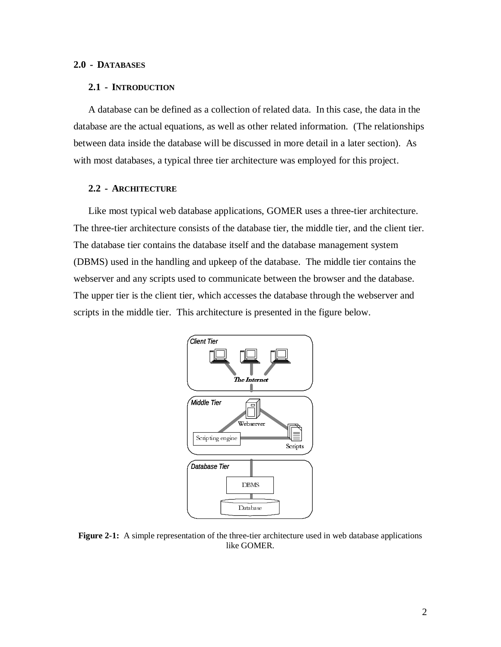# **2.0 - DATABASES**

#### **2.1 - INTRODUCTION**

A database can be defined as a collection of related data. In this case, the data in the database are the actual equations, as well as other related information. (The relationships between data inside the database will be discussed in more detail in a later section). As with most databases, a typical three tier architecture was employed for this project.

# **2.2 - ARCHITECTURE**

Like most typical web database applications, GOMER uses a three-tier architecture. The three-tier architecture consists of the database tier, the middle tier, and the client tier. The database tier contains the database itself and the database management system (DBMS) used in the handling and upkeep of the database. The middle tier contains the webserver and any scripts used to communicate between the browser and the database. The upper tier is the client tier, which accesses the database through the webserver and scripts in the middle tier. This architecture is presented in the figure below.



**Figure 2-1:** A simple representation of the three-tier architecture used in web database applications like GOMER.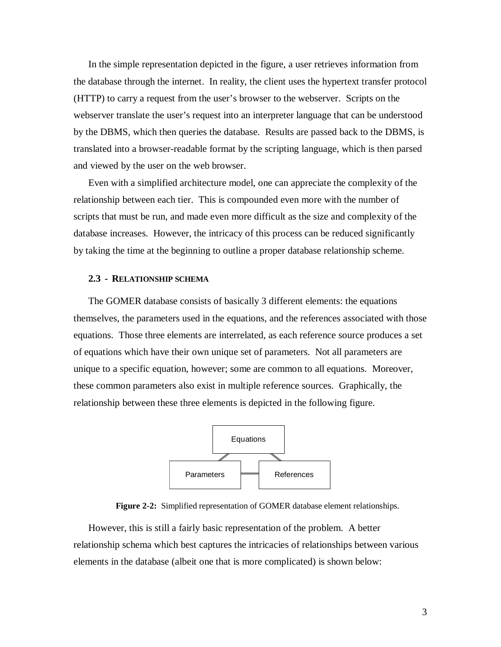In the simple representation depicted in the figure, a user retrieves information from the database through the internet. In reality, the client uses the hypertext transfer protocol (HTTP) to carry a request from the user's browser to the webserver. Scripts on the webserver translate the user's request into an interpreter language that can be understood by the DBMS, which then queries the database. Results are passed back to the DBMS, is translated into a browser-readable format by the scripting language, which is then parsed and viewed by the user on the web browser.

Even with a simplified architecture model, one can appreciate the complexity of the relationship between each tier. This is compounded even more with the number of scripts that must be run, and made even more difficult as the size and complexity of the database increases. However, the intricacy of this process can be reduced significantly by taking the time at the beginning to outline a proper database relationship scheme.

# **2.3 - RELATIONSHIP SCHEMA**

The GOMER database consists of basically 3 different elements: the equations themselves, the parameters used in the equations, and the references associated with those equations. Those three elements are interrelated, as each reference source produces a set of equations which have their own unique set of parameters. Not all parameters are unique to a specific equation, however; some are common to all equations. Moreover, these common parameters also exist in multiple reference sources. Graphically, the relationship between these three elements is depicted in the following figure.



**Figure 2-2:** Simplified representation of GOMER database element relationships.

However, this is still a fairly basic representation of the problem. A better relationship schema which best captures the intricacies of relationships between various elements in the database (albeit one that is more complicated) is shown below: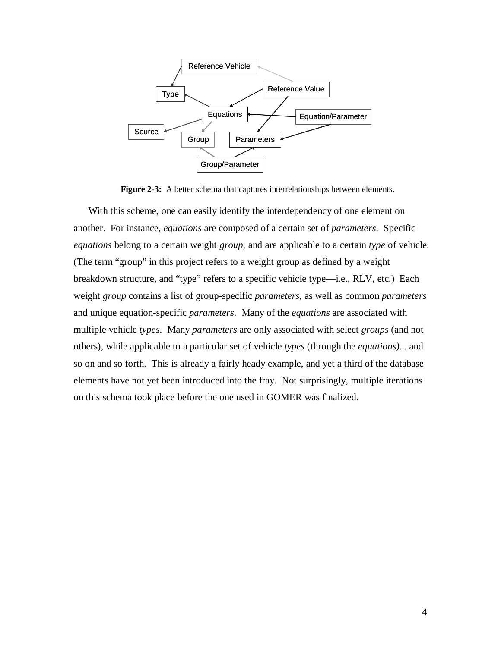

Figure 2-3: A better schema that captures interrelationships between elements.

With this scheme, one can easily identify the interdependency of one element on another. For instance, *equations* are composed of a certain set of *parameters*. Specific *equations* belong to a certain weight *group*, and are applicable to a certain *type* of vehicle. (The term "group" in this project refers to a weight group as defined by a weight breakdown structure, and "type" refers to a specific vehicle type—i.e., RLV, etc.) Each weight *group* contains a list of group-specific *parameters*, as well as common *parameters* and unique equation-specific *parameters*. Many of the *equations* are associated with multiple vehicle *types*. Many *parameters* are only associated with select *groups* (and not others), while applicable to a particular set of vehicle *types* (through the *equations)*... and so on and so forth. This is already a fairly heady example, and yet a third of the database elements have not yet been introduced into the fray. Not surprisingly, multiple iterations on this schema took place before the one used in GOMER was finalized.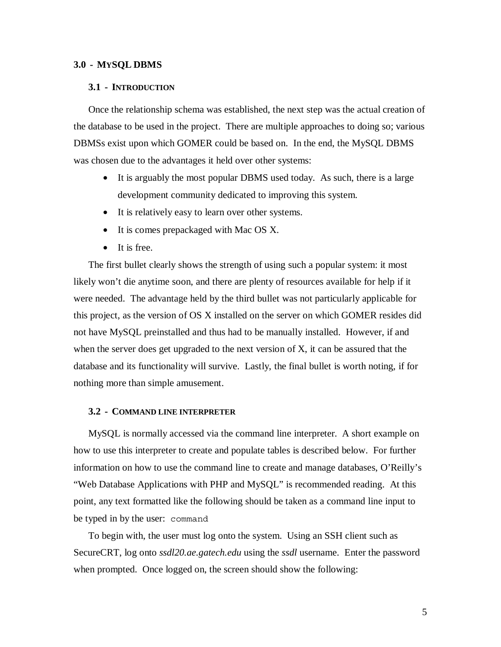# **3.0 - MYSQL DBMS**

#### **3.1 - INTRODUCTION**

Once the relationship schema was established, the next step was the actual creation of the database to be used in the project. There are multiple approaches to doing so; various DBMSs exist upon which GOMER could be based on. In the end, the MySQL DBMS was chosen due to the advantages it held over other systems:

- It is arguably the most popular DBMS used today. As such, there is a large development community dedicated to improving this system.
- It is relatively easy to learn over other systems.
- It is comes prepackaged with Mac OS X.
- It is free.

The first bullet clearly shows the strength of using such a popular system: it most likely won't die anytime soon, and there are plenty of resources available for help if it were needed. The advantage held by the third bullet was not particularly applicable for this project, as the version of OS X installed on the server on which GOMER resides did not have MySQL preinstalled and thus had to be manually installed. However, if and when the server does get upgraded to the next version of X, it can be assured that the database and its functionality will survive. Lastly, the final bullet is worth noting, if for nothing more than simple amusement.

#### **3.2 - COMMAND LINE INTERPRETER**

MySQL is normally accessed via the command line interpreter. A short example on how to use this interpreter to create and populate tables is described below. For further information on how to use the command line to create and manage databases, O'Reilly's "Web Database Applications with PHP and MySQL" is recommended reading. At this point, any text formatted like the following should be taken as a command line input to be typed in by the user: command

To begin with, the user must log onto the system. Using an SSH client such as SecureCRT, log onto *ssdl20.ae.gatech.edu* using the *ssdl* username. Enter the password when prompted. Once logged on, the screen should show the following: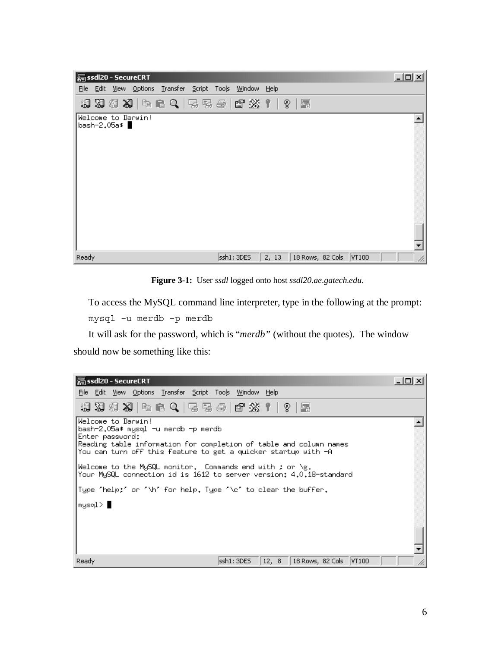| ssdl20 - SecureCRT<br>l. S           |                                                          |       | $ \Box$ $\times$ |
|--------------------------------------|----------------------------------------------------------|-------|------------------|
|                                      | File Edit View Options Transfer Script Tools Window Help |       |                  |
|                                      | 相对海河(中国 Q   5 5 4   6 26 1   ?   2                       |       |                  |
| Welcome to Darwin!<br>bash-2,05a\$ ▌ |                                                          |       |                  |
|                                      |                                                          |       |                  |
|                                      |                                                          |       |                  |
|                                      |                                                          |       |                  |
|                                      |                                                          |       |                  |
|                                      |                                                          |       |                  |
|                                      |                                                          |       |                  |
|                                      |                                                          |       |                  |
|                                      |                                                          |       |                  |
|                                      |                                                          |       |                  |
| Ready                                | ssh1: 3DES                                               | 2, 13 |                  |

**Figure 3-1:** User *ssdl* logged onto host *ssdl20.ae.gatech.edu*.

To access the MySQL command line interpreter, type in the following at the prompt: mysql –u merdb –p merdb

It will ask for the password, which is "*merdb"* (without the quotes). The window should now be something like this:

| SecureCRT                                                                                                                                                                                                                                                                         | $ \Box$ $\times$ |
|-----------------------------------------------------------------------------------------------------------------------------------------------------------------------------------------------------------------------------------------------------------------------------------|------------------|
| File Edit View Options Transfer Script Tools Window Help                                                                                                                                                                                                                          |                  |
| 相对语词 19   19   19   4   4   5   5   6   6   26   1   7   2   5                                                                                                                                                                                                                    |                  |
| Welcome to Darwin!<br>bash-2.05a\$ mysql −u merdb −p merdb<br>Enter password:<br>Reading table information for completion of table and column names<br>You can turn off this feature to get a quicker startup with −A<br>Welcome to the MySQL monitor. Commands end with ; or \g. |                  |
| Your MySQL connection id is 1612 to server version: 4.0.18-standard                                                                                                                                                                                                               |                  |
| Type 'help;' or '\h' for help. Type '\c' to clear the buffer.                                                                                                                                                                                                                     |                  |
| ∣mysql> ∎                                                                                                                                                                                                                                                                         |                  |
| 12, 8    18 Rows, 82 Cols    VT100<br>Ready<br>ssh1: 3DES                                                                                                                                                                                                                         |                  |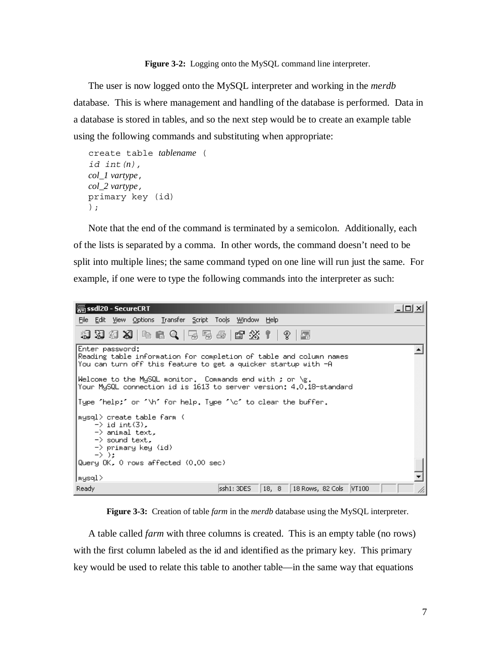**Figure 3-2:** Logging onto the MySQL command line interpreter.

The user is now logged onto the MySQL interpreter and working in the *merdb* database. This is where management and handling of the database is performed. Data in a database is stored in tables, and so the next step would be to create an example table using the following commands and substituting when appropriate:

```
create table tablename ( 
id int(n), 
col_1 vartype, 
col_2 vartype, 
primary key (id) 
);
```
Note that the end of the command is terminated by a semicolon. Additionally, each of the lists is separated by a comma. In other words, the command doesn't need to be split into multiple lines; the same command typed on one line will run just the same. For example, if one were to type the following commands into the interpreter as such:



**Figure 3-3:** Creation of table *farm* in the *merdb* database using the MySQL interpreter.

A table called *farm* with three columns is created. This is an empty table (no rows) with the first column labeled as the id and identified as the primary key. This primary key would be used to relate this table to another table—in the same way that equations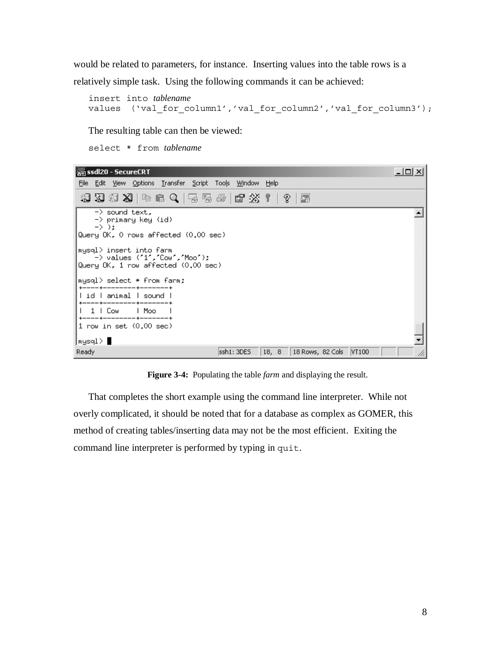would be related to parameters, for instance. Inserting values into the table rows is a relatively simple task. Using the following commands it can be achieved:

```
insert into tablename
values ('val_for_column1','val_for_column2','val_for_column3');
```
The resulting table can then be viewed:

select \* from *tablename*

| SecureCRT                                                                                                    | $ \Box$ $\times$ |
|--------------------------------------------------------------------------------------------------------------|------------------|
| - Edit <u>V</u> iew Options <u>T</u> ransfer Script Too <u>l</u> s <u>W</u> indow Help<br>File               |                  |
| 19 39 39 X9   4   6 Q   5 5 5 6   6 23   1   ?   5                                                           |                  |
| $\rightarrow$ sound text.<br>−> primary key (id)<br>$\rightarrow$ ):<br>Query OK, O rows affected (0.00 sec) |                  |
| mysql> insert into farm<br>-> values ('1','Cow','Moo');<br>Query OK, 1 row affected (0.00 sec)               |                  |
| mysql> select * from farm:                                                                                   |                  |
| l id I animal I sound                                                                                        |                  |
| 1   Cow<br>l Moo                                                                                             |                  |
| 1 row in set (0.00 sec)                                                                                      |                  |
| ∣mysql> ∎                                                                                                    |                  |
| Ready<br>ssh1: 3DES<br>  18, 8   18 Rows, 82 Cols   VT100                                                    |                  |

**Figure 3-4:** Populating the table *farm* and displaying the result.

That completes the short example using the command line interpreter. While not overly complicated, it should be noted that for a database as complex as GOMER, this method of creating tables/inserting data may not be the most efficient. Exiting the command line interpreter is performed by typing in quit.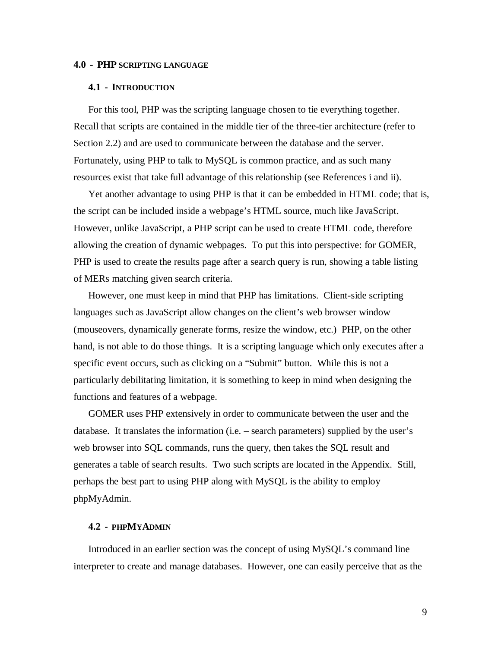# **4.0 - PHP SCRIPTING LANGUAGE**

#### **4.1 - INTRODUCTION**

For this tool, PHP was the scripting language chosen to tie everything together. Recall that scripts are contained in the middle tier of the three-tier architecture (refer to Section 2.2) and are used to communicate between the database and the server. Fortunately, using PHP to talk to MySQL is common practice, and as such many resources exist that take full advantage of this relationship (see References i and ii).

Yet another advantage to using PHP is that it can be embedded in HTML code; that is, the script can be included inside a webpage's HTML source, much like JavaScript. However, unlike JavaScript, a PHP script can be used to create HTML code, therefore allowing the creation of dynamic webpages. To put this into perspective: for GOMER, PHP is used to create the results page after a search query is run, showing a table listing of MERs matching given search criteria.

However, one must keep in mind that PHP has limitations. Client-side scripting languages such as JavaScript allow changes on the client's web browser window (mouseovers, dynamically generate forms, resize the window, etc.) PHP, on the other hand, is not able to do those things. It is a scripting language which only executes after a specific event occurs, such as clicking on a "Submit" button. While this is not a particularly debilitating limitation, it is something to keep in mind when designing the functions and features of a webpage.

GOMER uses PHP extensively in order to communicate between the user and the database. It translates the information (i.e. – search parameters) supplied by the user's web browser into SQL commands, runs the query, then takes the SQL result and generates a table of search results. Two such scripts are located in the Appendix. Still, perhaps the best part to using PHP along with MySQL is the ability to employ phpMyAdmin.

#### **4.2 - PHPMYADMIN**

Introduced in an earlier section was the concept of using MySQL's command line interpreter to create and manage databases. However, one can easily perceive that as the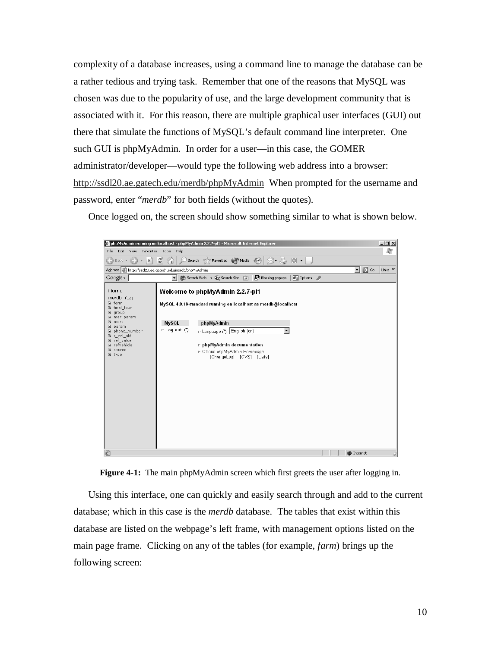complexity of a database increases, using a command line to manage the database can be a rather tedious and trying task. Remember that one of the reasons that MySQL was chosen was due to the popularity of use, and the large development community that is associated with it. For this reason, there are multiple graphical user interfaces (GUI) out there that simulate the functions of MySQL's default command line interpreter. One such GUI is phpMyAdmin. In order for a user—in this case, the GOMER administrator/developer—would type the following web address into a browser: http://ssdl20.ae.gatech.edu/merdb/phpMyAdmin When prompted for the username and password, enter "*merdb*" for both fields (without the quotes).

Once logged on, the screen should show something similar to what is shown below.





Using this interface, one can quickly and easily search through and add to the current database; which in this case is the *merdb* database. The tables that exist within this database are listed on the webpage's left frame, with management options listed on the main page frame. Clicking on any of the tables (for example, *farm*) brings up the following screen: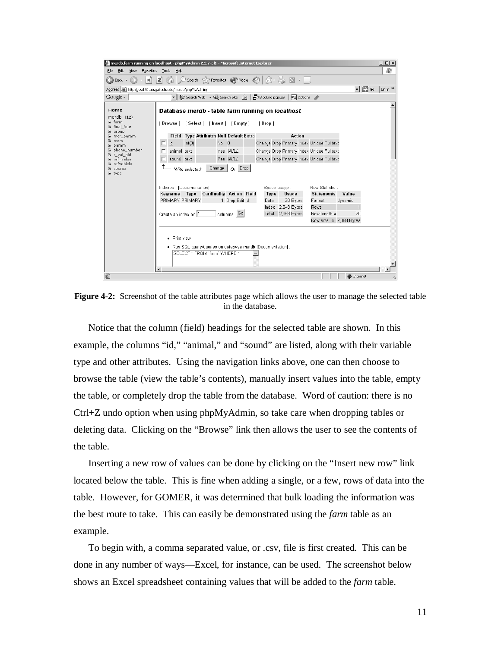| merdb.farm running on localhost - phpMyAdmin 2.2.7-pl1 - Microsoft Internet Explorer                                          |                                                                                                             |                                                    |                |              |                   |                                           |                   | $  $ $\Box$ $\times$ $ $ |  |  |  |  |
|-------------------------------------------------------------------------------------------------------------------------------|-------------------------------------------------------------------------------------------------------------|----------------------------------------------------|----------------|--------------|-------------------|-------------------------------------------|-------------------|--------------------------|--|--|--|--|
| Edit<br>Favorites<br>File<br>View                                                                                             | Tools<br>Help                                                                                               |                                                    |                |              |                   |                                           |                   | æ                        |  |  |  |  |
| Search $\leq$ Favorites $\cup$ Media $\langle 2 \rangle$<br>$\cdot$ & $\circ$ $\cdot$ .<br>١a١<br>$\mathbf{x}$<br>Back $\sim$ |                                                                                                             |                                                    |                |              |                   |                                           |                   |                          |  |  |  |  |
| Address @ http://ssdl20.ae.qatech.edu/merdb/phpMyAdmin/<br>$\Rightarrow$ Go<br>Links <sup>&gt;&gt;</sup><br>▾                 |                                                                                                             |                                                    |                |              |                   |                                           |                   |                          |  |  |  |  |
| $Google \cdot$                                                                                                                | $\mathbf{v}$                                                                                                | 徐 Search Web → ① Search Site     P Blocking popups |                |              | <b>Pu</b> Options |                                           |                   |                          |  |  |  |  |
| Home<br>merdb $(12)$<br>Di farm<br>Di final four<br>R group                                                                   | Database merdb - table farm running on localhost<br>[Browse] [Select] [Insert] [Empty]                      |                                                    |                | [Drop]       |                   |                                           |                   |                          |  |  |  |  |
| & mer_param<br><b>Q</b> mers                                                                                                  | Field Type Attributes Null Default Extra                                                                    |                                                    |                |              | Action            |                                           |                   |                          |  |  |  |  |
| G param                                                                                                                       | int(3)<br>id<br>г                                                                                           | $No$ $0$                                           |                |              |                   | Change Drop Primary Index Unique Fulltext |                   |                          |  |  |  |  |
| <b>&amp;</b> phone number<br>Di r_val_old                                                                                     | animal text                                                                                                 |                                                    | Yes NULL       |              |                   | Change Drop Primary Index Unique Fulltext |                   |                          |  |  |  |  |
| Di ref_value<br><b>N</b> refvehicle                                                                                           | sound text                                                                                                  |                                                    | Yes NULL       |              |                   | Change Drop Primary Index Unique Fulltext |                   |                          |  |  |  |  |
| <b>N</b> source<br><b>R</b> type                                                                                              | With selected:                                                                                              | Change                                             | $Or$ Drop      |              |                   |                                           |                   |                          |  |  |  |  |
|                                                                                                                               | Indexes: [Documentation]                                                                                    |                                                    |                | Space usage: |                   | Row Statistic:                            |                   |                          |  |  |  |  |
|                                                                                                                               | Keyname Type Cardinality Action Field                                                                       |                                                    |                | Type         | Usage             | <b>Statements</b>                         | Value             |                          |  |  |  |  |
|                                                                                                                               | PRIMARY PRIMARY                                                                                             |                                                    | 1 Drop Edit id | Data         | 20 Bytes          | Format                                    | dynamic           |                          |  |  |  |  |
|                                                                                                                               |                                                                                                             |                                                    |                | Index        | 2,048 Bytes       | <b>Rows</b>                               |                   |                          |  |  |  |  |
|                                                                                                                               | Create an index on 1                                                                                        |                                                    | columns Go     | Total        | 2,068 Bytes       | Row length ø                              | 20                |                          |  |  |  |  |
|                                                                                                                               |                                                                                                             |                                                    |                |              |                   | Row size ø 2,068 Bytes                    |                   |                          |  |  |  |  |
|                                                                                                                               | • Print view<br>• Run SQL query/queries on database merdb [Documentation] :<br>SELECT * FROM `farm` WHERE 1 |                                                    |                |              |                   |                                           |                   |                          |  |  |  |  |
| 图                                                                                                                             |                                                                                                             |                                                    |                |              |                   |                                           | <b>D</b> Internet |                          |  |  |  |  |

**Figure 4-2:** Screenshot of the table attributes page which allows the user to manage the selected table in the database.

Notice that the column (field) headings for the selected table are shown. In this example, the columns "id," "animal," and "sound" are listed, along with their variable type and other attributes. Using the navigation links above, one can then choose to browse the table (view the table's contents), manually insert values into the table, empty the table, or completely drop the table from the database. Word of caution: there is no Ctrl+Z undo option when using phpMyAdmin, so take care when dropping tables or deleting data. Clicking on the "Browse" link then allows the user to see the contents of the table.

Inserting a new row of values can be done by clicking on the "Insert new row" link located below the table. This is fine when adding a single, or a few, rows of data into the table. However, for GOMER, it was determined that bulk loading the information was the best route to take. This can easily be demonstrated using the *farm* table as an example.

To begin with, a comma separated value, or .csv, file is first created. This can be done in any number of ways—Excel, for instance, can be used. The screenshot below shows an Excel spreadsheet containing values that will be added to the *farm* table.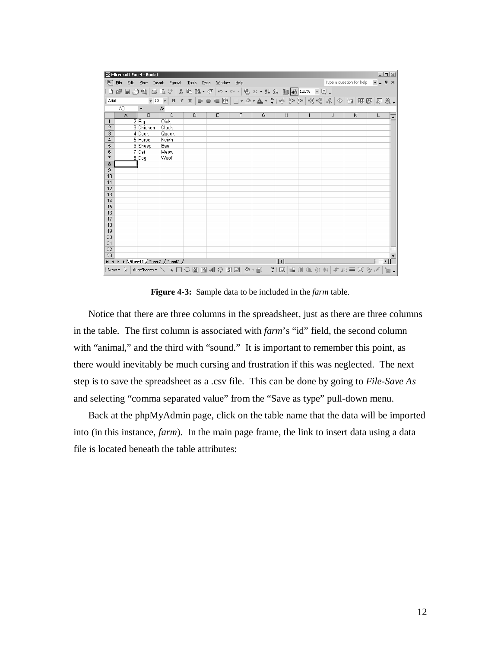| $\Box$<br>Microsoft Excel - Book1 |                |                      |                                                                                 |               |                |      |   |   |  |   |                          |                                                                                                               |
|-----------------------------------|----------------|----------------------|---------------------------------------------------------------------------------|---------------|----------------|------|---|---|--|---|--------------------------|---------------------------------------------------------------------------------------------------------------|
| 图                                 | Eile<br>Edit   | View<br>Insert       | Format                                                                          | Tools<br>Data | Window         | Help |   |   |  |   | Type a question for help | $   \sqrt{2}$ $\times$                                                                                        |
| $\Box$                            |                |                      | <del>ゴ目白电   当</del> B V   X 电 B + ♂   m + m +   e ∑ + #1 X   A   A   100% + Q . |               |                |      |   |   |  |   |                          |                                                                                                               |
| Arial                             |                |                      |                                                                                 |               |                |      |   |   |  |   |                          |                                                                                                               |
|                                   | A <sub>8</sub> | $\blacktriangledown$ | $f_x$                                                                           |               |                |      |   |   |  |   |                          |                                                                                                               |
|                                   | $\overline{A}$ | $\overline{R}$       | $\overline{c}$                                                                  | D             | $\overline{E}$ | F    | G | Η |  | J | K                        | L                                                                                                             |
| $\mathbf{1}$                      |                | 2 Fig                | Oink                                                                            |               |                |      |   |   |  |   |                          |                                                                                                               |
| $\overline{2}$                    |                | 3 Chicken            | Cluck                                                                           |               |                |      |   |   |  |   |                          |                                                                                                               |
| 3                                 |                | 4 Duck               | Quack                                                                           |               |                |      |   |   |  |   |                          |                                                                                                               |
| $\overline{4}$                    |                | 5 Horse              | Neigh                                                                           |               |                |      |   |   |  |   |                          |                                                                                                               |
| 5                                 |                | 6 Sheep              | Baa                                                                             |               |                |      |   |   |  |   |                          |                                                                                                               |
| 6                                 |                | 7 Cat                | Meow                                                                            |               |                |      |   |   |  |   |                          |                                                                                                               |
| 7                                 |                | 8Dog                 | Woof                                                                            |               |                |      |   |   |  |   |                          |                                                                                                               |
| 8                                 |                |                      |                                                                                 |               |                |      |   |   |  |   |                          |                                                                                                               |
| 9                                 |                |                      |                                                                                 |               |                |      |   |   |  |   |                          |                                                                                                               |
| 10                                |                |                      |                                                                                 |               |                |      |   |   |  |   |                          |                                                                                                               |
| 11<br>12                          |                |                      |                                                                                 |               |                |      |   |   |  |   |                          |                                                                                                               |
| 13                                |                |                      |                                                                                 |               |                |      |   |   |  |   |                          |                                                                                                               |
| 14                                |                |                      |                                                                                 |               |                |      |   |   |  |   |                          |                                                                                                               |
| 15                                |                |                      |                                                                                 |               |                |      |   |   |  |   |                          |                                                                                                               |
| 16                                |                |                      |                                                                                 |               |                |      |   |   |  |   |                          |                                                                                                               |
| 17                                |                |                      |                                                                                 |               |                |      |   |   |  |   |                          |                                                                                                               |
| 18                                |                |                      |                                                                                 |               |                |      |   |   |  |   |                          |                                                                                                               |
| 19                                |                |                      |                                                                                 |               |                |      |   |   |  |   |                          |                                                                                                               |
| $\overline{20}$                   |                |                      |                                                                                 |               |                |      |   |   |  |   |                          |                                                                                                               |
| 21                                |                |                      |                                                                                 |               |                |      |   |   |  |   |                          |                                                                                                               |
| $\overline{22}$                   |                |                      |                                                                                 |               |                |      |   |   |  |   |                          |                                                                                                               |
| $\overline{23}$                   |                |                      |                                                                                 |               |                |      |   |   |  |   |                          |                                                                                                               |
| $H - 4$                           |                |                      | M Sheet1 / Sheet2 / Sheet3 /                                                    |               |                |      |   | 1 |  |   |                          | ⊁ I l                                                                                                         |
| Draw *                            |                |                      |                                                                                 |               |                |      |   |   |  |   |                          | 1}   AutoShapes / \ \ □ ○ 图   2   【 ☆ 図 図   ③ - <i>■ / *</i> 図   ■ 01 01 ※ ※   # 心 三 其 多 √ │ <mark>*</mark> 。 |

**Figure 4-3:** Sample data to be included in the *farm* table.

Notice that there are three columns in the spreadsheet, just as there are three columns in the table. The first column is associated with *farm*'s "id" field, the second column with "animal," and the third with "sound." It is important to remember this point, as there would inevitably be much cursing and frustration if this was neglected. The next step is to save the spreadsheet as a .csv file. This can be done by going to *File-Save As* and selecting "comma separated value" from the "Save as type" pull-down menu.

Back at the phpMyAdmin page, click on the table name that the data will be imported into (in this instance, *farm*). In the main page frame, the link to insert data using a data file is located beneath the table attributes: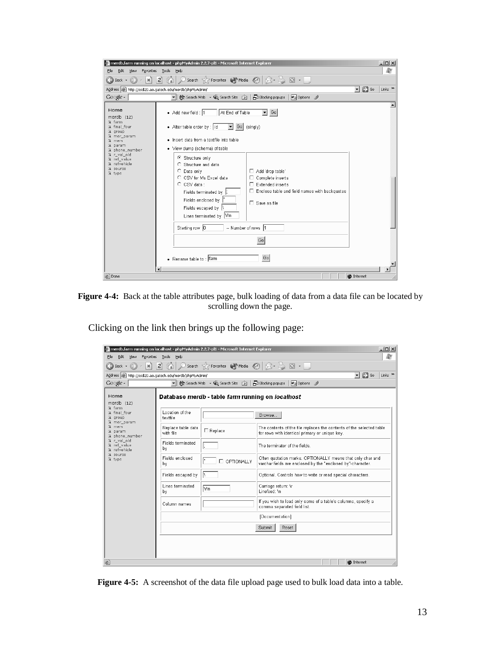



Clicking on the link then brings up the following page:

| merdb.farm running on localhost - phpMyAdmin 2.2.7-pl1 - Microsoft Internet Explorer |                                 |                                                  | $ \Box$ $\times$                                                                                                          |
|--------------------------------------------------------------------------------------|---------------------------------|--------------------------------------------------|---------------------------------------------------------------------------------------------------------------------------|
| Edit<br>Favorites<br>File<br>View                                                    | Tools<br>Help                   |                                                  | m                                                                                                                         |
| Back $\sim$<br>œ<br>$\mathbf{x}$                                                     | ei (A                           | Search Serverites Media (2)                      | $\circledR\cdot\geqslant\blacksquare\cdot\blacksquare$                                                                    |
| Address   http://ssdl20.ae.qatech.edu/merdb/phpMyAdmin/                              |                                 |                                                  | $\Rightarrow$ Go<br>Links $\rightarrow$<br>$\blacktriangledown$                                                           |
| $Google -$                                                                           | च                               | 餘 Search Web → QL Search Site                    | Blocking popups<br><b>Pu</b> Options                                                                                      |
| Home<br>merd $b$ $(12)$                                                              |                                 | Database merdb - table farm running on localhost |                                                                                                                           |
| <b>A</b> farm<br><b>&amp;</b> final four<br><b>R</b> group<br>G mer_param            | Location of the<br>textfile     |                                                  | Browse                                                                                                                    |
| <b>R</b> mers<br><b>Q</b> param<br><b>Q</b> phone number                             | Replace table data<br>with file | □ Replace                                        | The contents of the file replaces the contents of the selected table<br>for rows with identical primary or unique key.    |
| Di r val old<br>R ref value<br>a refvehicle<br>source                                | Fields terminated<br>bγ         |                                                  | The terminator of the fields.                                                                                             |
| <b>Q</b> type                                                                        | Fields enclosed<br>bγ           | OPTIONALLY                                       | Often quotation marks. OPTIONALLY means that only char and<br>varchar fields are enclosed by the "enclosed by"-character. |
|                                                                                      | Fields escaped by               |                                                  | Optional. Controls how to write or read special characters.                                                               |
|                                                                                      | Lines terminated<br>bγ          | ∣\r∖n                                            | Carriage return: \r<br>Linefeed: \n                                                                                       |
|                                                                                      | Column names                    |                                                  | If you wish to load only some of a table's columns, specify a<br>comma separated field list.                              |
|                                                                                      |                                 |                                                  | [Documentation]                                                                                                           |
|                                                                                      |                                 |                                                  | Reset<br>Submit                                                                                                           |
|                                                                                      |                                 |                                                  |                                                                                                                           |
|                                                                                      |                                 |                                                  |                                                                                                                           |
| 图                                                                                    |                                 |                                                  | <b>O</b> Internet                                                                                                         |

**Figure 4-5:** A screenshot of the data file upload page used to bulk load data into a table.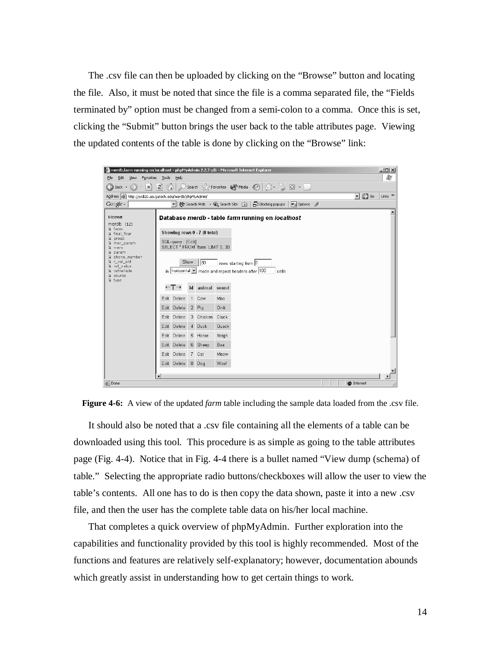The .csv file can then be uploaded by clicking on the "Browse" button and locating the file. Also, it must be noted that since the file is a comma separated file, the "Fields terminated by" option must be changed from a semi-colon to a comma. Once this is set, clicking the "Submit" button brings the user back to the table attributes page. Viewing the updated contents of the table is done by clicking on the "Browse" link:





It should also be noted that a .csv file containing all the elements of a table can be downloaded using this tool. This procedure is as simple as going to the table attributes page (Fig. 4-4). Notice that in Fig. 4-4 there is a bullet named "View dump (schema) of table." Selecting the appropriate radio buttons/checkboxes will allow the user to view the table's contents. All one has to do is then copy the data shown, paste it into a new .csv file, and then the user has the complete table data on his/her local machine.

That completes a quick overview of phpMyAdmin. Further exploration into the capabilities and functionality provided by this tool is highly recommended. Most of the functions and features are relatively self-explanatory; however, documentation abounds which greatly assist in understanding how to get certain things to work.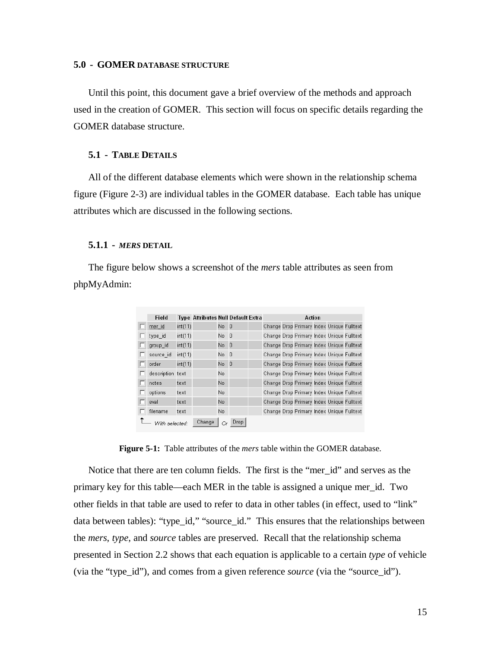# **5.0 - GOMER DATABASE STRUCTURE**

Until this point, this document gave a brief overview of the methods and approach used in the creation of GOMER. This section will focus on specific details regarding the GOMER database structure.

# **5.1 - TABLE DETAILS**

All of the different database elements which were shown in the relationship schema figure (Figure 2-3) are individual tables in the GOMER database. Each table has unique attributes which are discussed in the following sections.

## **5.1.1 -** *MERS* **DETAIL**

The figure below shows a screenshot of the *mers* table attributes as seen from phpMyAdmin:

| Field            |         | <b>Type Attributes Null Default Extra</b> |      |      |  | Action                                    |  |  |
|------------------|---------|-------------------------------------------|------|------|--|-------------------------------------------|--|--|
|                  |         |                                           |      |      |  |                                           |  |  |
| mer id           | int(11) |                                           | No 0 |      |  | Change Drop Primary Index Unique Fulltext |  |  |
| type id          | int(11) |                                           | No O |      |  | Change Drop Primary Index Unique Fulltext |  |  |
| group id         | int(11) |                                           | No 0 |      |  | Change Drop Primary Index Unique Fulltext |  |  |
| source id        | int(11) |                                           | No O |      |  | Change Drop Primary Index Unique Fulltext |  |  |
| order            | int(11) |                                           | No.  | -0   |  | Change Drop Primary Index Unique Fulltext |  |  |
| description text |         |                                           | No.  |      |  | Change Drop Primary Index Unique Fulltext |  |  |
| notes            | text    |                                           | No.  |      |  | Change Drop Primary Index Unique Fulltext |  |  |
| options          | text    |                                           | No   |      |  | Change Drop Primary Index Unique Fulltext |  |  |
| eval             | text    |                                           | No   |      |  | Change Drop Primary Index Unique Fulltext |  |  |
| filename         | text    |                                           | No   |      |  | Change Drop Primary Index Unique Fulltext |  |  |
| With selected:   |         | Change                                    | ∩r   | Drop |  |                                           |  |  |

**Figure 5-1:** Table attributes of the *mers* table within the GOMER database.

Notice that there are ten column fields. The first is the "mer\_id" and serves as the primary key for this table—each MER in the table is assigned a unique mer\_id. Two other fields in that table are used to refer to data in other tables (in effect, used to "link" data between tables): "type\_id," "source\_id." This ensures that the relationships between the *mers*, *type*, and *source* tables are preserved. Recall that the relationship schema presented in Section 2.2 shows that each equation is applicable to a certain *type* of vehicle (via the "type\_id"), and comes from a given reference *source* (via the "source\_id").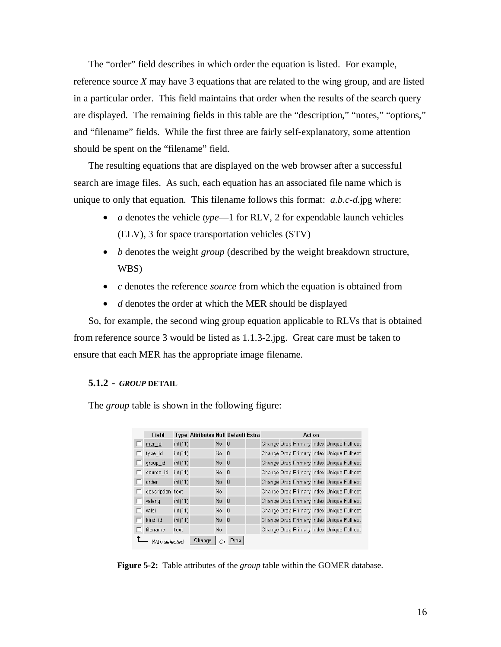The "order" field describes in which order the equation is listed. For example, reference source *X* may have 3 equations that are related to the wing group, and are listed in a particular order. This field maintains that order when the results of the search query are displayed. The remaining fields in this table are the "description," "notes," "options," and "filename" fields. While the first three are fairly self-explanatory, some attention should be spent on the "filename" field.

The resulting equations that are displayed on the web browser after a successful search are image files. As such, each equation has an associated file name which is unique to only that equation. This filename follows this format: *a*.*b*.*c*-*d*.jpg where:

- *a* denotes the vehicle *type*—1 for RLV, 2 for expendable launch vehicles (ELV), 3 for space transportation vehicles (STV)
- *b* denotes the weight *group* (described by the weight breakdown structure, WBS)
- *c* denotes the reference *source* from which the equation is obtained from
- *d* denotes the order at which the MER should be displayed

So, for example, the second wing group equation applicable to RLVs that is obtained from reference source 3 would be listed as 1.1.3-2.jpg. Great care must be taken to ensure that each MER has the appropriate image filename.

# **5.1.2 -** *GROUP* **DETAIL**

The *group* table is shown in the following figure:

| Field            |         | <b>Type Attributes Null Default Extra</b> |      |             | Action |  |                                           |  |  |  |  |
|------------------|---------|-------------------------------------------|------|-------------|--------|--|-------------------------------------------|--|--|--|--|
| mer id           | int(11) |                                           | No 0 |             |        |  | Change Drop Primary Index Unique Fulltext |  |  |  |  |
| type id          | int(11) |                                           | No 0 |             |        |  | Change Drop Primary Index Unique Fulltext |  |  |  |  |
| group id         | int(11) |                                           | No 0 |             |        |  | Change Drop Primary Index Unique Fulltext |  |  |  |  |
| source id        | int(11) |                                           | No O |             |        |  | Change Drop Primary Index Unique Fulltext |  |  |  |  |
| order            | int(11) |                                           | No 0 |             |        |  | Change Drop Primary Index Unique Fulltext |  |  |  |  |
| description text |         |                                           | No   |             |        |  | Change Drop Primary Index Unique Fulltext |  |  |  |  |
| valeng           | int(11) |                                           | No 0 |             |        |  | Change Drop Primary Index Unique Fulltext |  |  |  |  |
| valsi            | int(11) |                                           | No 0 |             |        |  | Change Drop Primary Index Unique Fulltext |  |  |  |  |
| kind id          | int(11) |                                           | No 0 |             |        |  | Change Drop Primary Index Unique Fulltext |  |  |  |  |
| filename         | text    |                                           | No   |             |        |  | Change Drop Primary Index Unique Fulltext |  |  |  |  |
| With selected:   |         | Change                                    | Or   | <b>Drop</b> |        |  |                                           |  |  |  |  |

**Figure 5-2:** Table attributes of the *group* table within the GOMER database.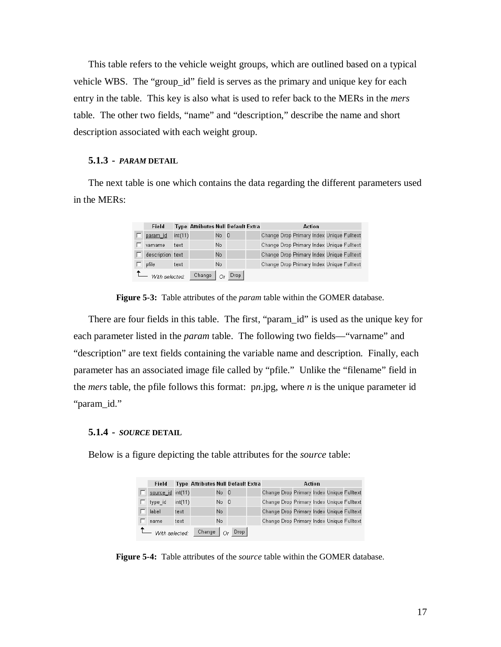This table refers to the vehicle weight groups, which are outlined based on a typical vehicle WBS. The "group\_id" field is serves as the primary and unique key for each entry in the table. This key is also what is used to refer back to the MERs in the *mers* table. The other two fields, "name" and "description," describe the name and short description associated with each weight group.

#### **5.1.3 -** *PARAM* **DETAIL**

The next table is one which contains the data regarding the different parameters used in the MERs:

| Field            |         | <b>Type Attributes Null Default Extra</b> |      |      | Action |  |                                           |  |  |  |
|------------------|---------|-------------------------------------------|------|------|--------|--|-------------------------------------------|--|--|--|
| param id         | int(11) |                                           | No 0 |      |        |  | Change Drop Primary Index Unique Fulltext |  |  |  |
| varname          | text    |                                           | No.  |      |        |  | Change Drop Primary Index Unique Fulltext |  |  |  |
| description text |         |                                           | No   |      |        |  | Change Drop Primary Index Unique Fulltext |  |  |  |
| pfile            | text    |                                           | No   |      |        |  | Change Drop Primary Index Unique Fulltext |  |  |  |
| With selected:   |         | Change                                    | Оr   | Drop |        |  |                                           |  |  |  |

**Figure 5-3:** Table attributes of the *param* table within the GOMER database.

There are four fields in this table. The first, "param\_id" is used as the unique key for each parameter listed in the *param* table. The following two fields—"varname" and "description" are text fields containing the variable name and description. Finally, each parameter has an associated image file called by "pfile." Unlike the "filename" field in the *mers* table, the pfile follows this format: p*n*.jpg, where *n* is the unique parameter id "param\_id."

# **5.1.4 -** *SOURCE* **DETAIL**

Below is a figure depicting the table attributes for the *source* table:

| Field                  |         | <b>Type Attributes Null Default Extra</b> |             |      |  | Action                                    |  |  |
|------------------------|---------|-------------------------------------------|-------------|------|--|-------------------------------------------|--|--|
| source $id$ int $(11)$ |         |                                           | No 0        |      |  | Change Drop Primary Index Unique Fulltext |  |  |
| type id                | int(11) |                                           | $No$ $0$    |      |  | Change Drop Primary Index Unique Fulltext |  |  |
| label                  | text    |                                           | No          |      |  | Change Drop Primary Index Unique Fulltext |  |  |
| name                   | text    |                                           | No.         |      |  | Change Drop Primary Index Unique Fulltext |  |  |
| With selected:         |         | Change                                    | $\bigcap$ r | Drop |  |                                           |  |  |

**Figure 5-4:** Table attributes of the *source* table within the GOMER database.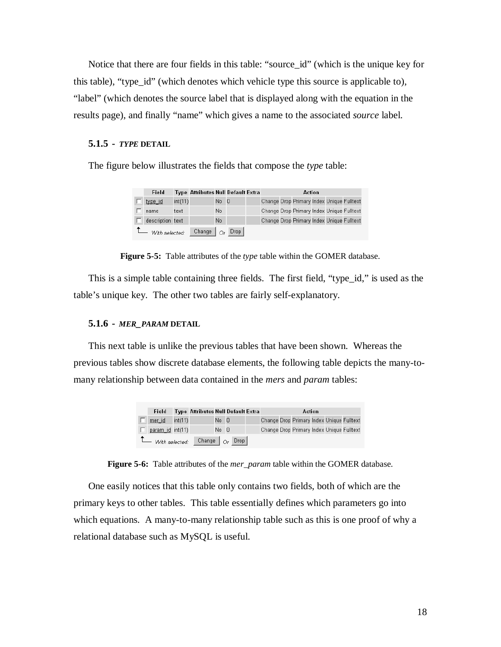Notice that there are four fields in this table: "source\_id" (which is the unique key for this table), "type\_id" (which denotes which vehicle type this source is applicable to), "label" (which denotes the source label that is displayed along with the equation in the results page), and finally "name" which gives a name to the associated *source* label.

# **5.1.5 -** *TYPE* **DETAIL**

The figure below illustrates the fields that compose the *type* table:

| Field            |         | <b>Type Attributes Null Default Extra</b> |      |      | Action |  |                                           |  |  |  |
|------------------|---------|-------------------------------------------|------|------|--------|--|-------------------------------------------|--|--|--|
| type id          | int(11) |                                           | No 0 |      |        |  | Change Drop Primary Index Unique Fulltext |  |  |  |
| name             | text    |                                           | No   |      |        |  | Change Drop Primary Index Unique Fulltext |  |  |  |
| description text |         |                                           | No   |      |        |  | Change Drop Primary Index Unique Fulltext |  |  |  |
| - With selected: |         | Change                                    | Оr   | Drop |        |  |                                           |  |  |  |

**Figure 5-5:** Table attributes of the *type* table within the GOMER database.

This is a simple table containing three fields. The first field, "type\_id," is used as the table's unique key. The other two tables are fairly self-explanatory.

# **5.1.6 -** *MER\_PARAM* **DETAIL**

This next table is unlike the previous tables that have been shown. Whereas the previous tables show discrete database elements, the following table depicts the many-tomany relationship between data contained in the *mers* and *param* tables:

| Field            |         | <b>Type Attributes Null Default Extra</b> |      |                              |  | Action                                    |  |  |
|------------------|---------|-------------------------------------------|------|------------------------------|--|-------------------------------------------|--|--|
| mer id           | int(11) |                                           | No 0 |                              |  | Change Drop Primary Index Unique Fulltext |  |  |
| param id int(11) |         |                                           | No 0 |                              |  | Change Drop Primary Index Unique Fulltext |  |  |
| With selected:   |         |                                           |      | Change $ _{\bigcirc r}$ Drop |  |                                           |  |  |

**Figure 5-6:** Table attributes of the *mer\_param* table within the GOMER database.

One easily notices that this table only contains two fields, both of which are the primary keys to other tables. This table essentially defines which parameters go into which equations. A many-to-many relationship table such as this is one proof of why a relational database such as MySQL is useful.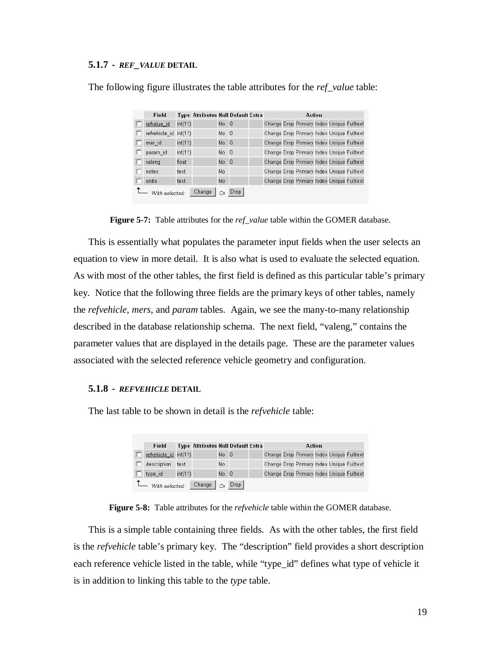#### **5.1.7 -** *REF\_VALUE* **DETAIL**

| Field                 |         | <b>Type Attributes Null Default Extra</b> |      |                |  | Action                                    |  |  |
|-----------------------|---------|-------------------------------------------|------|----------------|--|-------------------------------------------|--|--|
| refvalue_id           | int(11) |                                           | No 0 |                |  | Change Drop Primary Index Unique Fulltext |  |  |
| refvehicle_id int(11) |         |                                           | No.  | - 0            |  | Change Drop Primary Index Unique Fulltext |  |  |
| mer id                | int(11) |                                           | No.  | -0             |  | Change Drop Primary Index Unique Fulltext |  |  |
| param id              | int(11) |                                           | No 0 |                |  | Change Drop Primary Index Unique Fulltext |  |  |
| valeng                | float   |                                           | No.  | $\overline{0}$ |  | Change Drop Primary Index Unique Fulltext |  |  |
| notes                 | text    |                                           | No.  |                |  | Change Drop Primary Index Unique Fulltext |  |  |
| units                 | text    |                                           | No.  |                |  | Change Drop Primary Index Unique Fulltext |  |  |
| - With selected:      |         | Change                                    | Оr   | Drop           |  |                                           |  |  |

The following figure illustrates the table attributes for the *ref\_value* table:

**Figure 5-7:** Table attributes for the *ref\_value* table within the GOMER database.

This is essentially what populates the parameter input fields when the user selects an equation to view in more detail. It is also what is used to evaluate the selected equation. As with most of the other tables, the first field is defined as this particular table's primary key. Notice that the following three fields are the primary keys of other tables, namely the *refvehicle*, *mers*, and *param* tables. Again, we see the many-to-many relationship described in the database relationship schema. The next field, "valeng," contains the parameter values that are displayed in the details page. These are the parameter values associated with the selected reference vehicle geometry and configuration.

#### **5.1.8 -** *REFVEHICLE* **DETAIL**

The last table to be shown in detail is the *refvehicle* table:

| Field                 |         | <b>Type Attributes Null Default Extra</b> |      |      |  | Action |  |                                           |
|-----------------------|---------|-------------------------------------------|------|------|--|--------|--|-------------------------------------------|
| refvehicle id int(11) |         |                                           | No 0 |      |  |        |  | Change Drop Primary Index Unique Fulltext |
| description           | text    |                                           | No.  |      |  |        |  | Change Drop Primary Index Unique Fulltext |
| type id               | int(11) |                                           | No 0 |      |  |        |  | Change Drop Primary Index Unique Fulltext |
| - With selected:      |         | Change                                    | Оr   | Drop |  |        |  |                                           |

**Figure 5-8:** Table attributes for the *refvehicle* table within the GOMER database.

This is a simple table containing three fields. As with the other tables, the first field is the *refvehicle* table's primary key. The "description" field provides a short description each reference vehicle listed in the table, while "type\_id" defines what type of vehicle it is in addition to linking this table to the *type* table.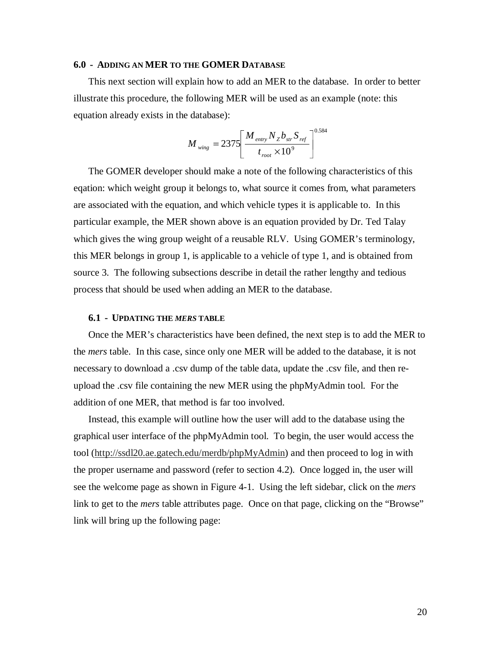# **6.0 - ADDING AN MER TO THE GOMER DATABASE**

This next section will explain how to add an MER to the database. In order to better illustrate this procedure, the following MER will be used as an example (note: this equation already exists in the database):

$$
M_{\text{wing}} = 2375 \left[ \frac{M_{\text{entry}} N_{z} b_{\text{str}} S_{\text{ref}}}{t_{\text{root}} \times 10^{9}} \right]^{0.584}
$$

The GOMER developer should make a note of the following characteristics of this eqation: which weight group it belongs to, what source it comes from, what parameters are associated with the equation, and which vehicle types it is applicable to. In this particular example, the MER shown above is an equation provided by Dr. Ted Talay which gives the wing group weight of a reusable RLV. Using GOMER's terminology, this MER belongs in group 1, is applicable to a vehicle of type 1, and is obtained from source 3. The following subsections describe in detail the rather lengthy and tedious process that should be used when adding an MER to the database.

#### **6.1 - UPDATING THE** *MERS* **TABLE**

Once the MER's characteristics have been defined, the next step is to add the MER to the *mers* table. In this case, since only one MER will be added to the database, it is not necessary to download a .csv dump of the table data, update the .csv file, and then reupload the .csv file containing the new MER using the phpMyAdmin tool. For the addition of one MER, that method is far too involved.

Instead, this example will outline how the user will add to the database using the graphical user interface of the phpMyAdmin tool. To begin, the user would access the tool (http://ssdl20.ae.gatech.edu/merdb/phpMyAdmin) and then proceed to log in with the proper username and password (refer to section 4.2). Once logged in, the user will see the welcome page as shown in Figure 4-1. Using the left sidebar, click on the *mers* link to get to the *mers* table attributes page. Once on that page, clicking on the "Browse" link will bring up the following page: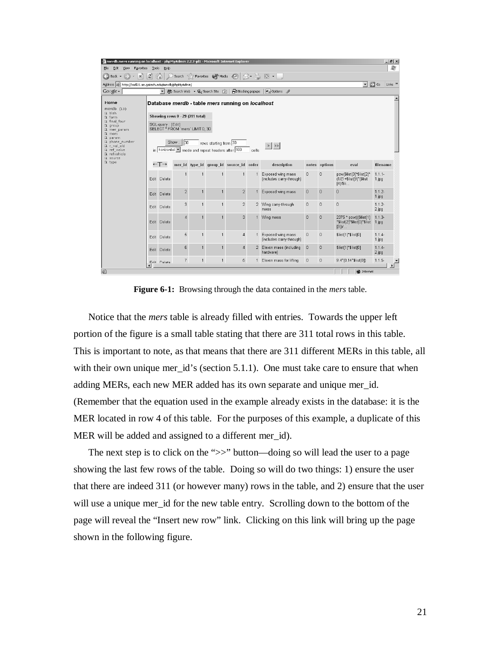| Therdb mers running on localhost - phpMyAdmin 2.2.7-pl1 - Microsoft Internet Explorer                                                 |                             |                          |                         |                                                                     |                                                                            |                                                  |       |                                                                                                                                                                                             |                |               |                                                                        | $-10 \times$                                  |
|---------------------------------------------------------------------------------------------------------------------------------------|-----------------------------|--------------------------|-------------------------|---------------------------------------------------------------------|----------------------------------------------------------------------------|--------------------------------------------------|-------|---------------------------------------------------------------------------------------------------------------------------------------------------------------------------------------------|----------------|---------------|------------------------------------------------------------------------|-----------------------------------------------|
| Edit<br>View<br>File<br>Favorites                                                                                                     | Tools                       | Help                     |                         |                                                                     |                                                                            |                                                  |       |                                                                                                                                                                                             |                |               |                                                                        | 鄘                                             |
| $\bigodot$ Back $\cdot$ $\bigodot$<br>×                                                                                               | $\left  \mathbf{c} \right $ |                          |                         |                                                                     |                                                                            |                                                  |       | Search $\leq$ Favorites $\left\  \cdot \right\ $ Media $\left\langle \cdot \right\rangle \left\  \cdot \right\rangle \rightarrow \left\  \cdot \right\rangle$ $\left\  \cdot \right\rangle$ |                |               |                                                                        |                                               |
| Address   illa http://ssdl20.ae.gatech.edu/merdb/phpMyAdmin/                                                                          |                             |                          |                         |                                                                     |                                                                            |                                                  |       |                                                                                                                                                                                             |                |               | $\overline{ }$                                                         | $\Rightarrow$ Go<br>Links <sup>&gt;&gt;</sup> |
| Google -                                                                                                                              |                             | $\overline{\phantom{a}}$ |                         |                                                                     | 餘 Search Web ▼ 业 Search Site (3)                                           | Blocking popups                                  |       | <b>Pu</b> Options                                                                                                                                                                           |                |               |                                                                        |                                               |
| Home<br>merdb $(13)$<br><b>R</b> blah<br>D. farm<br><b>&amp;</b> final four<br><b>Q</b> group<br><b>A</b> mer param                   |                             | SQL-query: [Edit]        |                         | Showing rows 0 - 29 (311 total)<br>SELECT * FROM 'mers' LIMIT 0, 30 |                                                                            | Database merdb - table mers running on localhost |       |                                                                                                                                                                                             |                |               |                                                                        |                                               |
| <b>Q</b> mers<br><b>Q</b> param<br><b>&amp;</b> phone number<br>De r val old<br>R ref_value<br><b>A</b> refvehicle<br><b>N</b> source |                             |                          | $\frac{1}{30}$<br>Show: |                                                                     | rows starting from 30<br>in   horizontal mode and repeat headers after 100 |                                                  | cells | $>$ $ $ $\gg$                                                                                                                                                                               |                |               |                                                                        |                                               |
| <b>Q</b> type                                                                                                                         |                             | ←⊤→                      |                         |                                                                     |                                                                            | mer id type id group id source id order          |       | description                                                                                                                                                                                 |                | notes options | eval                                                                   | filename                                      |
|                                                                                                                                       |                             | Edit Delete              | 1                       | 1                                                                   | $\mathbf{1}$                                                               | $\overline{1}$                                   |       | Exposed wing mass<br>(includes carry-through)                                                                                                                                               | $\overline{0}$ | 0             | pow(\$list[3]*\$list[2]*<br>$(1/(1 + $list[9]^*(\$list$<br>$[4]/\$$ li | $1.1.1 -$<br>1.jpg                            |
|                                                                                                                                       | Edit                        | Delete                   | $\overline{a}$          | 1                                                                   | $\mathbf{1}$                                                               | $\overline{2}$                                   |       | Exposed wing mass                                                                                                                                                                           | $\theta$       | 0             | 0                                                                      | $1.1.2 -$<br>1.jpg                            |
|                                                                                                                                       |                             | Edit Delete              | 3                       | 1                                                                   | $\mathbf{1}$                                                               | $\overline{2}$                                   |       | 2 Wing carry-through<br>mass                                                                                                                                                                | $\Omega$       | $\Box$        | $\overline{0}$                                                         | $1.1.2 -$<br>2.jpg                            |
|                                                                                                                                       | Fidit                       | Delete                   | $\overline{4}$          | 1                                                                   | $\mathbf{1}$                                                               | 3                                                |       | 1 Wing mass                                                                                                                                                                                 | $\theta$       | $\Omega$      | 2375 * pow(((\$list[1]<br>*\$list[2]*\$list[0]*\$list<br>$[3]$ )/      | $1.1.3-$<br>$1$ . jpg                         |
|                                                                                                                                       |                             | Edit Delete              | 5                       | $\mathbf{1}$                                                        | $\mathbf{1}$                                                               | $\overline{4}$                                   |       | Exposed wing mass<br>(includes carry-through)                                                                                                                                               | $\mathbf 0$    | 0             | \$list[1]*\$list[0]                                                    | $1.1.4-$<br>1.jpg                             |
|                                                                                                                                       | Edit                        | Delete                   | 6                       | 1                                                                   | $\mathbf{1}$                                                               | $\overline{4}$                                   | 2.    | Elevon mass (including<br>hardware)                                                                                                                                                         | $\overline{0}$ | $\mathbf 0$   | \$list[1]*\$list[0]                                                    | 1.1.4<br>2.jpg                                |
|                                                                                                                                       |                             | Frit Doloto              | $\overline{7}$          | $\mathbf{1}$                                                        | $\mathbf{1}$                                                               | 5                                                |       | Elevon mass for lifting                                                                                                                                                                     | $\Omega$       | 0             | 9.4*(0.14*\$list[0])                                                   | $1.1.5 -$<br>$\mathbf{F}$                     |
| 画                                                                                                                                     |                             |                          |                         |                                                                     |                                                                            |                                                  |       |                                                                                                                                                                                             |                |               | <b>D</b> Internet                                                      |                                               |

**Figure 6-1:** Browsing through the data contained in the *mers* table.

Notice that the *mers* table is already filled with entries. Towards the upper left portion of the figure is a small table stating that there are 311 total rows in this table. This is important to note, as that means that there are 311 different MERs in this table, all with their own unique mer\_id's (section 5.1.1). One must take care to ensure that when adding MERs, each new MER added has its own separate and unique mer\_id. (Remember that the equation used in the example already exists in the database: it is the MER located in row 4 of this table. For the purposes of this example, a duplicate of this MER will be added and assigned to a different mer\_id).

The next step is to click on the ">>" button—doing so will lead the user to a page showing the last few rows of the table. Doing so will do two things: 1) ensure the user that there are indeed 311 (or however many) rows in the table, and 2) ensure that the user will use a unique mer\_id for the new table entry. Scrolling down to the bottom of the page will reveal the "Insert new row" link. Clicking on this link will bring up the page shown in the following figure.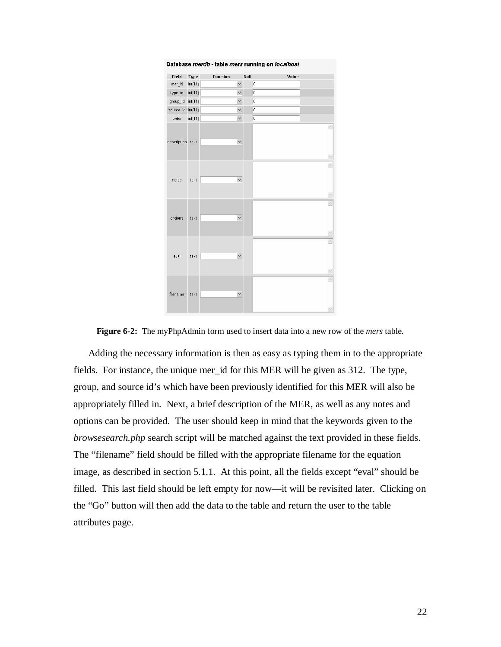

**Figure 6-2:** The myPhpAdmin form used to insert data into a new row of the *mers* table.

Adding the necessary information is then as easy as typing them in to the appropriate fields. For instance, the unique mer\_id for this MER will be given as 312. The type, group, and source id's which have been previously identified for this MER will also be appropriately filled in. Next, a brief description of the MER, as well as any notes and options can be provided. The user should keep in mind that the keywords given to the *browsesearch.php* search script will be matched against the text provided in these fields. The "filename" field should be filled with the appropriate filename for the equation image, as described in section 5.1.1. At this point, all the fields except "eval" should be filled. This last field should be left empty for now—it will be revisited later. Clicking on the "Go" button will then add the data to the table and return the user to the table attributes page.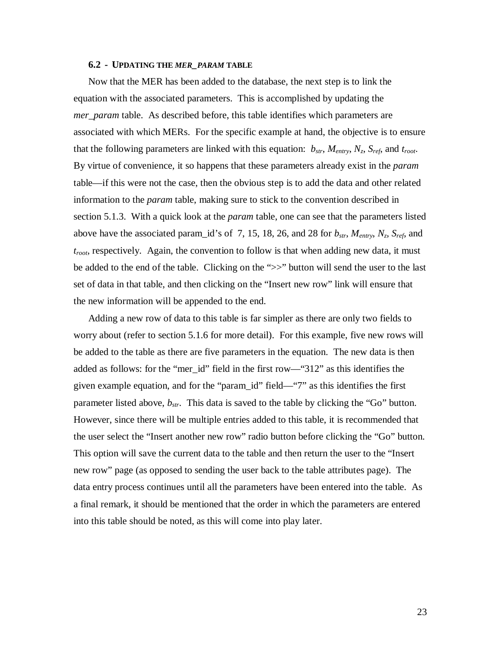#### **6.2 - UPDATING THE** *MER\_PARAM* **TABLE**

Now that the MER has been added to the database, the next step is to link the equation with the associated parameters. This is accomplished by updating the *mer*\_*param* table. As described before, this table identifies which parameters are associated with which MERs. For the specific example at hand, the objective is to ensure that the following parameters are linked with this equation:  $b_{str}$ ,  $M_{entry}$ ,  $N_z$ ,  $S_{ref}$ , and  $t_{root}$ . By virtue of convenience, it so happens that these parameters already exist in the *param* table—if this were not the case, then the obvious step is to add the data and other related information to the *param* table, making sure to stick to the convention described in section 5.1.3. With a quick look at the *param* table, one can see that the parameters listed above have the associated param\_id's of 7, 15, 18, 26, and 28 for  $b_{str}$ ,  $M_{entry}$ ,  $N_z$ ,  $S_{ref}$ , and *troot*, respectively. Again, the convention to follow is that when adding new data, it must be added to the end of the table. Clicking on the ">>" button will send the user to the last set of data in that table, and then clicking on the "Insert new row" link will ensure that the new information will be appended to the end.

Adding a new row of data to this table is far simpler as there are only two fields to worry about (refer to section 5.1.6 for more detail). For this example, five new rows will be added to the table as there are five parameters in the equation. The new data is then added as follows: for the "mer id" field in the first row—"312" as this identifies the given example equation, and for the "param\_id" field—"7" as this identifies the first parameter listed above, *bstr*. This data is saved to the table by clicking the "Go" button. However, since there will be multiple entries added to this table, it is recommended that the user select the "Insert another new row" radio button before clicking the "Go" button. This option will save the current data to the table and then return the user to the "Insert new row" page (as opposed to sending the user back to the table attributes page). The data entry process continues until all the parameters have been entered into the table. As a final remark, it should be mentioned that the order in which the parameters are entered into this table should be noted, as this will come into play later.

23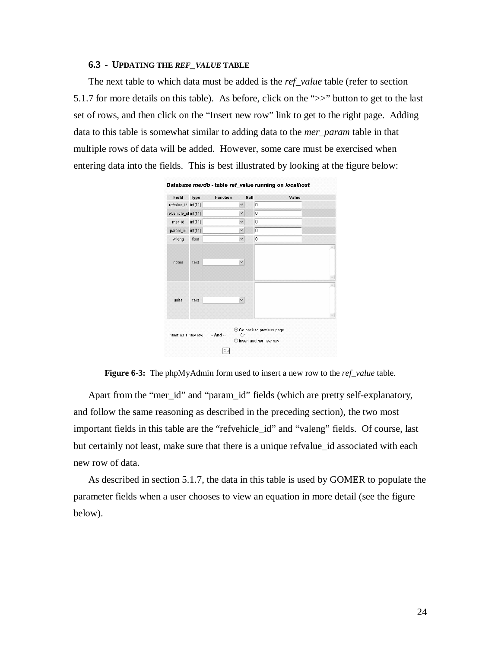# **6.3 - UPDATING THE** *REF\_VALUE* **TABLE**

The next table to which data must be added is the *ref\_value* table (refer to section 5.1.7 for more details on this table). As before, click on the ">>" button to get to the last set of rows, and then click on the "Insert new row" link to get to the right page. Adding data to this table is somewhat similar to adding data to the *mer\_param* table in that multiple rows of data will be added. However, some care must be exercised when entering data into the fields. This is best illustrated by looking at the figure below:



Database merdb - table ref\_value running on localhost



Apart from the "mer\_id" and "param\_id" fields (which are pretty self-explanatory, and follow the same reasoning as described in the preceding section), the two most important fields in this table are the "refvehicle\_id" and "valeng" fields. Of course, last but certainly not least, make sure that there is a unique refvalue id associated with each new row of data.

As described in section 5.1.7, the data in this table is used by GOMER to populate the parameter fields when a user chooses to view an equation in more detail (see the figure below).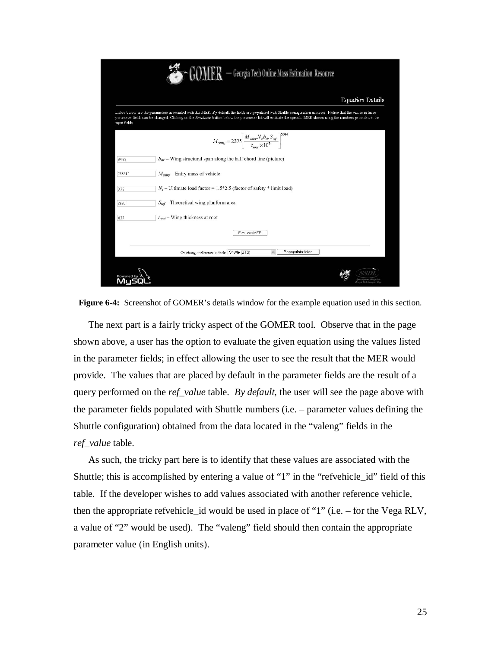|               | - Georgia Tech Online Mass Estimation Resource                                                                                                                                                                                                                                                                                         |
|---------------|----------------------------------------------------------------------------------------------------------------------------------------------------------------------------------------------------------------------------------------------------------------------------------------------------------------------------------------|
|               | <b>Equation Details</b>                                                                                                                                                                                                                                                                                                                |
| input fields. | Listed below are the parameters associated with this MER. By default, the fields are populated with Shuttle configuration numbers. Notice that the values in these<br>parameter fields can be changed. Clicking on the Evaluate button below the parameter list will evaluate the specific MER shown using the numbers provided in the |
|               | $M_{\text{wing}} = 2375 \left[ \frac{M_{\text{entry}} N_z b_{\text{str}} S_{\text{ref}}}{t_{\text{root}} \times 10^9} \right]^{0.584}$                                                                                                                                                                                                 |
| 94.63         | $b_{str}$ – Wing structural span along the half chord line (picture)                                                                                                                                                                                                                                                                   |
| 238214        | $M_{\text{entry}}$ – Entry mass of vehicle                                                                                                                                                                                                                                                                                             |
| 3.75          | $N_z$ – Ultimate load factor = 1.5*2.5 (factor of safety * limit load)                                                                                                                                                                                                                                                                 |
| 2690          | $S_{ref}$ – Theoretical wing planform area                                                                                                                                                                                                                                                                                             |
| 4.77          | $t_{root}$ – Wing thickness at root                                                                                                                                                                                                                                                                                                    |
|               | Evaluate MER                                                                                                                                                                                                                                                                                                                           |
|               | Repopulate fields<br>Or change reference vehicle: Shuttle (STS)                                                                                                                                                                                                                                                                        |
|               |                                                                                                                                                                                                                                                                                                                                        |

**Figure 6-4:** Screenshot of GOMER's details window for the example equation used in this section.

The next part is a fairly tricky aspect of the GOMER tool. Observe that in the page shown above, a user has the option to evaluate the given equation using the values listed in the parameter fields; in effect allowing the user to see the result that the MER would provide. The values that are placed by default in the parameter fields are the result of a query performed on the *ref\_value* table. *By default*, the user will see the page above with the parameter fields populated with Shuttle numbers (i.e. – parameter values defining the Shuttle configuration) obtained from the data located in the "valeng" fields in the *ref\_value* table.

As such, the tricky part here is to identify that these values are associated with the Shuttle; this is accomplished by entering a value of "1" in the "refvehicle\_id" field of this table. If the developer wishes to add values associated with another reference vehicle, then the appropriate refvehicle\_id would be used in place of "1" (i.e. – for the Vega RLV, a value of "2" would be used). The "valeng" field should then contain the appropriate parameter value (in English units).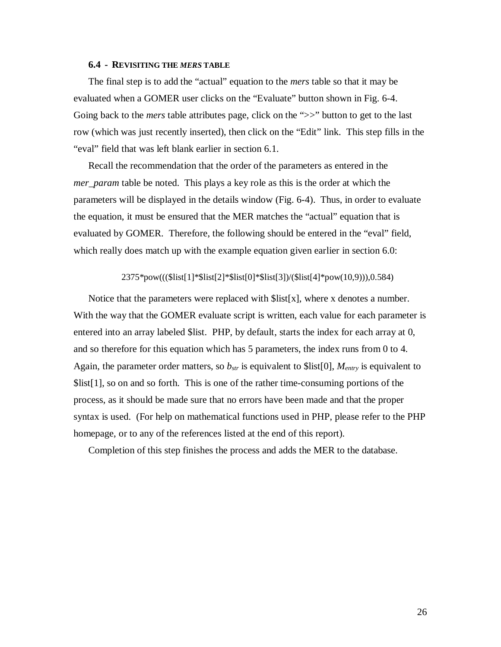#### **6.4 - REVISITING THE** *MERS* **TABLE**

The final step is to add the "actual" equation to the *mers* table so that it may be evaluated when a GOMER user clicks on the "Evaluate" button shown in Fig. 6-4. Going back to the *mers* table attributes page, click on the ">>" button to get to the last row (which was just recently inserted), then click on the "Edit" link. This step fills in the "eval" field that was left blank earlier in section 6.1.

Recall the recommendation that the order of the parameters as entered in the *mer\_param* table be noted. This plays a key role as this is the order at which the parameters will be displayed in the details window (Fig. 6-4). Thus, in order to evaluate the equation, it must be ensured that the MER matches the "actual" equation that is evaluated by GOMER. Therefore, the following should be entered in the "eval" field, which really does match up with the example equation given earlier in section 6.0:

#### 2375\*pow(((\$list[1]\*\$list[2]\*\$list[0]\*\$list[3])/(\$list[4]\*pow(10,9))),0.584)

Notice that the parameters were replaced with  $\frac{1}{s}$  list[x], where x denotes a number. With the way that the GOMER evaluate script is written, each value for each parameter is entered into an array labeled \$list. PHP, by default, starts the index for each array at 0, and so therefore for this equation which has 5 parameters, the index runs from 0 to 4. Again, the parameter order matters, so  $b_{str}$  is equivalent to \$list[0],  $M_{entry}$  is equivalent to \$list[1], so on and so forth. This is one of the rather time-consuming portions of the process, as it should be made sure that no errors have been made and that the proper syntax is used. (For help on mathematical functions used in PHP, please refer to the PHP homepage, or to any of the references listed at the end of this report).

Completion of this step finishes the process and adds the MER to the database.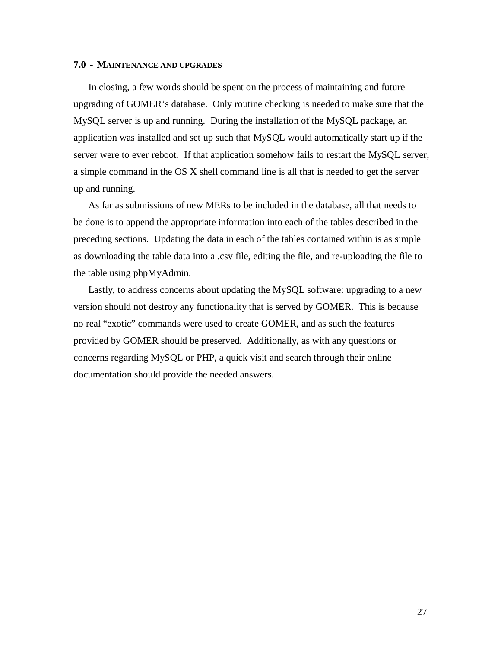#### **7.0 - MAINTENANCE AND UPGRADES**

In closing, a few words should be spent on the process of maintaining and future upgrading of GOMER's database. Only routine checking is needed to make sure that the MySQL server is up and running. During the installation of the MySQL package, an application was installed and set up such that MySQL would automatically start up if the server were to ever reboot. If that application somehow fails to restart the MySQL server, a simple command in the OS X shell command line is all that is needed to get the server up and running.

As far as submissions of new MERs to be included in the database, all that needs to be done is to append the appropriate information into each of the tables described in the preceding sections. Updating the data in each of the tables contained within is as simple as downloading the table data into a .csv file, editing the file, and re-uploading the file to the table using phpMyAdmin.

Lastly, to address concerns about updating the MySQL software: upgrading to a new version should not destroy any functionality that is served by GOMER. This is because no real "exotic" commands were used to create GOMER, and as such the features provided by GOMER should be preserved. Additionally, as with any questions or concerns regarding MySQL or PHP, a quick visit and search through their online documentation should provide the needed answers.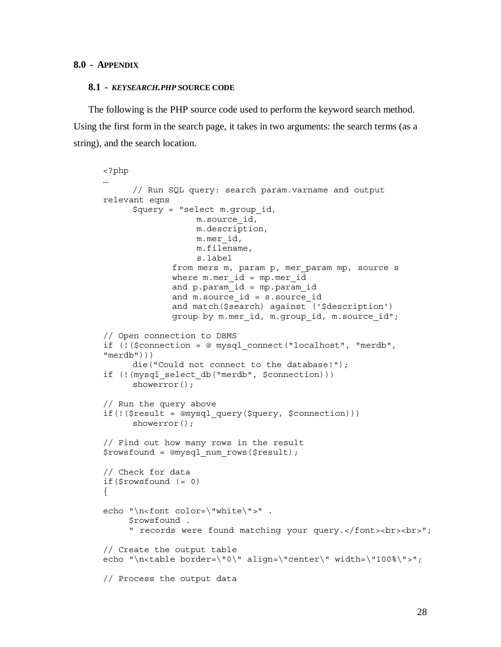# **8.0 - APPENDIX**

#### **8.1 -** *KEYSEARCH.PHP* **SOURCE CODE**

The following is the PHP source code used to perform the keyword search method. Using the first form in the search page, it takes in two arguments: the search terms (as a string), and the search location.

```
<?php 
… 
       // Run SQL query: search param.varname and output 
relevant eqns 
       $query = "select m.group_id, 
                    m.source_id, 
                    m.description, 
                    m.mer_id, 
                    m.filename, 
                    s.label 
              from mers m, param p, mer param mp, source s
              where m. mer id = mp.mer id
               and p.param_id = mp.param_id 
              and m.source id = s.source id
               and match($search) against ('$description') 
              group by m.mer id, m.group id, m.source id";
// Open connection to DBMS 
if (!($connection = @ mysql_connect("localhost", "merdb", 
"merdb"))) 
       die("Could not connect to the database!"); 
if (!(mysql select db("merdb", $connection)))
      showerror();
// Run the query above 
if(!($result = @mysql_query($query, $connection))) 
      showerror();
// Find out how many rows in the result 
$rowsfound = @mysql_num_rows($result); 
// Check for data 
if($rowsfound != 0) 
{ 
echo "\n<font color=\"white\">".
      $rowsfound . 
      " records were found matching your query.</font><br><br>"; 
// Create the output table 
echo "\n<table border=\"0\" align=\"center\" width=\"100%\">"; 
// Process the output data
```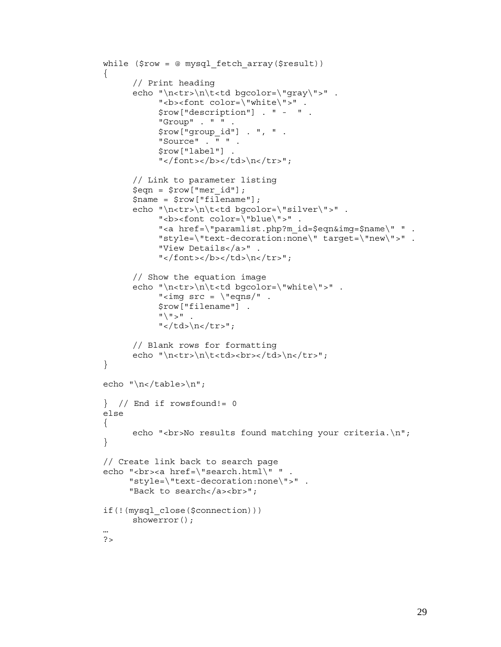```
while (\text{row} = \text{@ myself fetch array}(\text{Stesult}))\{ // Print heading 
       echo "\n<tr>\n\t<td bgcolor=\"gray\">" . 
            "<b><font color=\"white\">".
             $row["description"] . " - " . 
             "Group" . " " . 
             $row["group_id"] . ", " . 
             "Source" . " " . 
             $row["label"] . 
            "</font></b></td>\n</tr>";
       // Link to parameter listing 
       $eqn = $row["mer_id"]; 
       $name = $row["filename"]; 
      echo "\n<tr>\n\t<td bgcolor=\"silver\">" .
            "<b><font color=\"blue\">".
             "<a href=\"paramlist.php?m_id=$eqn&img=$name\" " . 
             "style=\"text-decoration:none\" target=\"new\">" . 
             "View Details</a>" . 
            "</font></b></td>\n</tr>";
       // Show the equation image 
      echo "\n<tr>\n\t<td bgcolor=\"white\">" .
            "<img src = \text{``eqns''}. $row["filename"] . 
            "\wedge" > " .
            "</td>\n</tr>";
       // Blank rows for formatting 
      echo "\n<tr>\n\t<td><br></td>\n</tr>";
} 
echo "\n\frac{\text{table}}{\n}";
\} // End if rowsfound!= 0
else 
{ 
      echo "<br/>sho results found matching your criteria.\n \n \begin{bmatrix}\n n \\ n \n \end{bmatrix};
} 
// Create link back to search page 
echo "<br>>br><a href=\"search.html\" " .
      "style=\"text-decoration:none\">" . 
      "Back to search</a> <br>";
if(!(mysql_close($connection))) 
      showerror();
… 
?>
```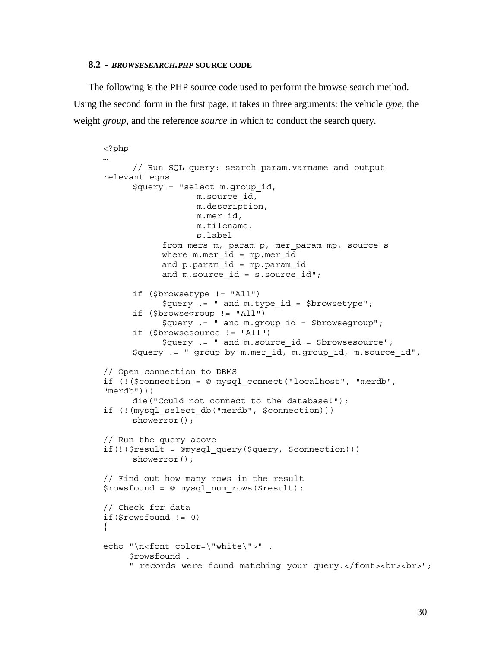#### **8.2 -** *BROWSESEARCH.PHP* **SOURCE CODE**

The following is the PHP source code used to perform the browse search method. Using the second form in the first page, it takes in three arguments: the vehicle *type*, the weight *group*, and the reference *source* in which to conduct the search query.

```
<?php 
… 
       // Run SQL query: search param.varname and output 
relevant eqns 
       $query = "select m.group_id, 
                    m.source_id, 
                    m.description, 
                    m.mer_id, 
                    m.filename, 
                    s.label 
             from mers m, param p, mer_param mp, source s 
            where m.mer id = mp.mer id and p.param_id = mp.param_id 
            and m.source id = s.source id";
       if ($browsetype != "All") 
             $query .= " and m.type_id = $browsetype"; 
       if ($browsegroup != "All") 
             $query .= " and m.group_id = $browsegroup"; 
       if ($browsesource != "All") 
            \text{Squery} := " and m.\text{source} id = \text{Sbrowser};
       $query .= " group by m.mer_id, m.group_id, m.source_id"; 
// Open connection to DBMS 
if (!($connection = @ mysql_connect("localhost", "merdb", 
"merdb"))) 
       die("Could not connect to the database!"); 
if (!(mysql select db("merdb", $connection)))
      showerror();
// Run the query above 
if(!($result = @mysql_query($query, $connection))) 
      showerror();
// Find out how many rows in the result 
$rowsfound = @ mysql_num_rows($result); 
// Check for data 
if($rowsfound != 0) 
{ 
echo "\n<font color=\"white\">".
      $rowsfound . 
      " records were found matching your query.</font><br><br>";
```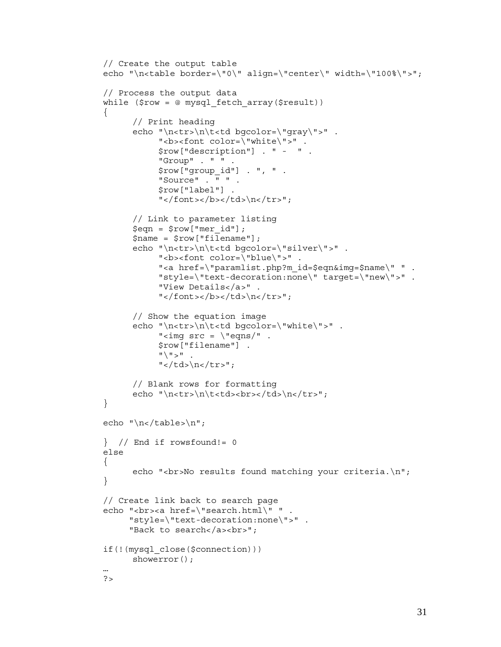```
// Create the output table 
echo "\n<table border=\"0\" align=\"center\" width=\"100%\">"; 
// Process the output data 
while (\text{row} = \text{@ myself fetch array}(\text{Sresult})){ 
       // Print heading 
       echo "\n<tr>\n\t<td bgcolor=\"gray\">" . 
            "<b><font color=\"white\">".
             $row["description"] . " - " . 
             "Group" . " " . 
             $row["group_id"] . ", " . 
             "Source" . " " . 
             $row["label"] . 
            "</font></b></td>\n</tr>";
       // Link to parameter listing 
       $eqn = $row["mer_id"]; 
      $name = $row['filename"];
       echo "\n<tr>\n\t<td bgcolor=\"silver\">" . 
            "<b><font color=\"blue\">".
            "<a href=\"paramlist.php?m id=$eqn&img=$name\" " .
             "style=\"text-decoration:none\" target=\"new\">" . 
             "View Details</a>" . 
            "</font></b></td>\n</tr>";
       // Show the equation image 
      echo "\n<tr>\n\t<td bgcolor=\"white\">".
            "<img src = \text{``eqns''}. $row["filename"] . 
            "'' \vee" " \vee" .
            "</td>\n</tr>";
       // Blank rows for formatting 
      echo "\n<tr>\n\t<td><br></td>\n</tr>";
} 
echo "\n\frac{\text{table}}{\n}";
} // End if rowsfound!= 0
else 
{ 
      echo "<br/>kor>No results found matching your criteria.\n";
} 
// Create link back to search page 
echo "<br><a href=\"search.html\" "
      "style=\"text-decoration:none\">" . 
     "Back to search</a> <br>";
if(!(mysql_close($connection))) 
      showerror();
… 
?>
```